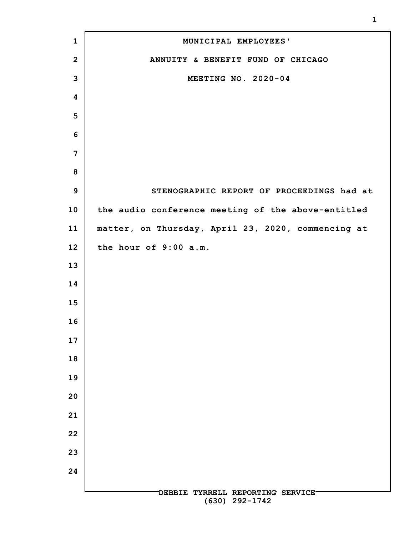| $\mathbf{1}$    | MUNICIPAL EMPLOYEES'                               |
|-----------------|----------------------------------------------------|
| $\overline{2}$  | ANNUITY & BENEFIT FUND OF CHICAGO                  |
| 3               | MEETING NO. 2020-04                                |
| 4               |                                                    |
| 5               |                                                    |
| 6               |                                                    |
| 7               |                                                    |
| 8               |                                                    |
| $\mathbf{9}$    | STENOGRAPHIC REPORT OF PROCEEDINGS had at          |
| 10              | the audio conference meeting of the above-entitled |
| 11              | matter, on Thursday, April 23, 2020, commencing at |
| 12 <sub>2</sub> | the hour of 9:00 a.m.                              |
| 13              |                                                    |
| 14              |                                                    |
| 15              |                                                    |
| 16              |                                                    |
| 17              |                                                    |
| 18              |                                                    |
| 19              |                                                    |
| 20              |                                                    |
| 21              |                                                    |
| 22              |                                                    |
| 23              |                                                    |
| 24              |                                                    |
|                 | DEBBIE TYRRELL REPORTING SERVICE<br>(630) 292-1742 |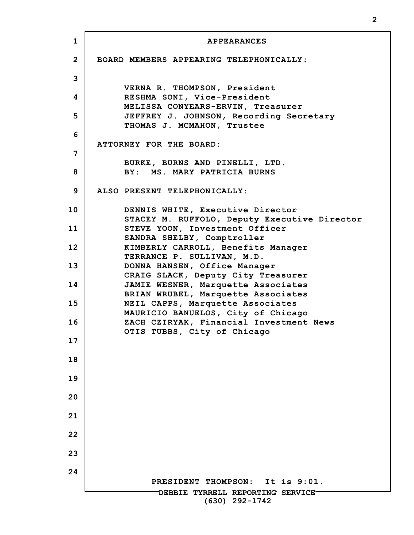**1 2 3 4 5 6 7 8 9 10 11 12 13 14 15 16 17 18 19 20 21 22 23 24 DEBBIE TYRRELL REPORTING SERVICE (630) 292-1742 APPEARANCES BOARD MEMBERS APPEARING TELEPHONICALLY: VERNA R. THOMPSON, President RESHMA SONI, Vice-President MELISSA CONYEARS-ERVIN, Treasurer JEFFREY J. JOHNSON, Recording Secretary THOMAS J. MCMAHON, Trustee ATTORNEY FOR THE BOARD: BURKE, BURNS AND PINELLI, LTD. BY: MS. MARY PATRICIA BURNS ALSO PRESENT TELEPHONICALLY: DENNIS WHITE, Executive Director STACEY M. RUFFOLO, Deputy Executive Director STEVE YOON, Investment Officer SANDRA SHELBY, Comptroller KIMBERLY CARROLL, Benefits Manager TERRANCE P. SULLIVAN, M.D. DONNA HANSEN, Office Manager CRAIG SLACK, Deputy City Treasurer JAMIE WESNER, Marquette Associates BRIAN WRUBEL, Marquette Associates NEIL CAPPS, Marquette Associates MAURICIO BANUELOS, City of Chicago ZACH CZIRYAK, Financial Investment News OTIS TUBBS, City of Chicago PRESIDENT THOMPSON: It is 9:01.**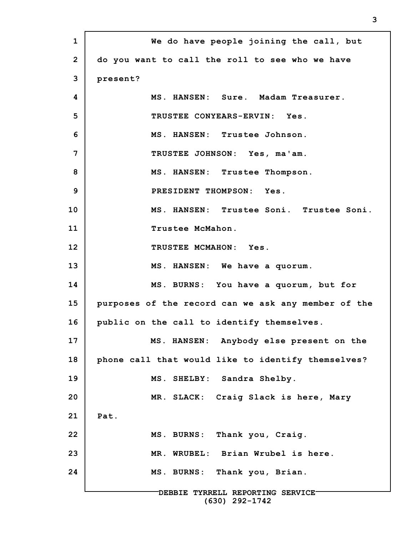**1 2 3 4 5 6 7 8 9 10 11 12 13 14 15 16 17 18 19 20 21 22 23 24 DEBBIE TYRRELL REPORTING SERVICE (630) 292-1742 We do have people joining the call, but do you want to call the roll to see who we have present? MS. HANSEN: Sure. Madam Treasurer. TRUSTEE CONYEARS-ERVIN: Yes. MS. HANSEN: Trustee Johnson. TRUSTEE JOHNSON: Yes, ma'am. MS. HANSEN: Trustee Thompson. PRESIDENT THOMPSON: Yes. MS. HANSEN: Trustee Soni. Trustee Soni. Trustee McMahon. TRUSTEE MCMAHON: Yes. MS. HANSEN: We have a quorum. MS. BURNS: You have a quorum, but for purposes of the record can we ask any member of the public on the call to identify themselves. MS. HANSEN: Anybody else present on the phone call that would like to identify themselves? MS. SHELBY: Sandra Shelby. MR. SLACK: Craig Slack is here, Mary Pat. MS. BURNS: Thank you, Craig. MR. WRUBEL: Brian Wrubel is here. MS. BURNS: Thank you, Brian.**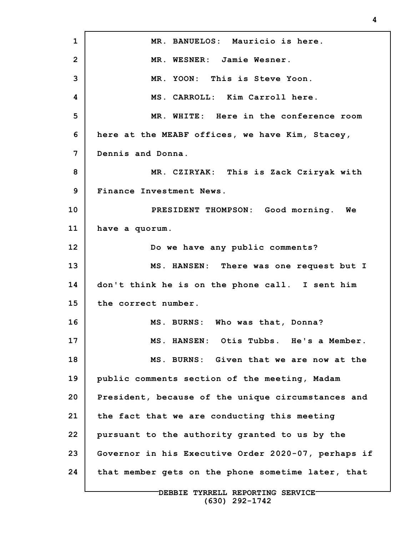**1 2 3 4 5 6 7 8 9 10 11 12 13 14 15 16 17 18 19 20 21 22 23 24 MR. BANUELOS: Mauricio is here. MR. WESNER: Jamie Wesner. MR. YOON: This is Steve Yoon. MS. CARROLL: Kim Carroll here. MR. WHITE: Here in the conference room here at the MEABF offices, we have Kim, Stacey, Dennis and Donna. MR. CZIRYAK: This is Zack Cziryak with Finance Investment News. PRESIDENT THOMPSON: Good morning. We have a quorum. Do we have any public comments? MS. HANSEN: There was one request but I don't think he is on the phone call. I sent him the correct number. MS. BURNS: Who was that, Donna? MS. HANSEN: Otis Tubbs. He's a Member. MS. BURNS: Given that we are now at the public comments section of the meeting, Madam President, because of the unique circumstances and the fact that we are conducting this meeting pursuant to the authority granted to us by the Governor in his Executive Order 2020-07, perhaps if that member gets on the phone sometime later, that**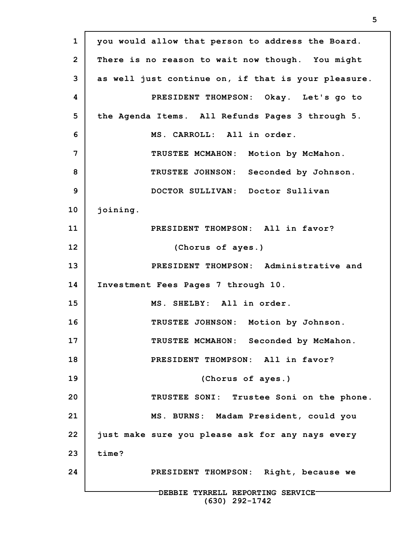**1 2 3 4 5 6 7 8 9 10 11 12 13 14 15 16 17 18 19 20 21 22 23 24 DEBBIE TYRRELL REPORTING SERVICE (630) 292-1742 you would allow that person to address the Board. There is no reason to wait now though. You might as well just continue on, if that is your pleasure. PRESIDENT THOMPSON: Okay. Let's go to the Agenda Items. All Refunds Pages 3 through 5. MS. CARROLL: All in order. TRUSTEE MCMAHON: Motion by McMahon. TRUSTEE JOHNSON: Seconded by Johnson. DOCTOR SULLIVAN: Doctor Sullivan joining. PRESIDENT THOMPSON: All in favor? (Chorus of ayes.) PRESIDENT THOMPSON: Administrative and Investment Fees Pages 7 through 10. MS. SHELBY: All in order. TRUSTEE JOHNSON: Motion by Johnson. TRUSTEE MCMAHON: Seconded by McMahon. PRESIDENT THOMPSON: All in favor? (Chorus of ayes.) TRUSTEE SONI: Trustee Soni on the phone. MS. BURNS: Madam President, could you just make sure you please ask for any nays every time? PRESIDENT THOMPSON: Right, because we**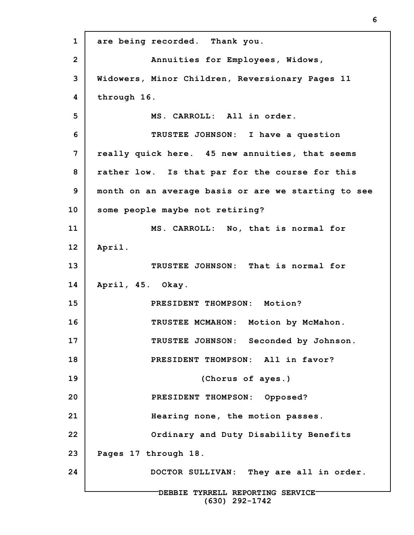**1 2 3 4 5 6 7 8 9 10 11 12 13 14 15 16 17 18 19 20 21 22 23 24 DEBBIE TYRRELL REPORTING SERVICE (630) 292-1742 are being recorded. Thank you. Annuities for Employees, Widows, Widowers, Minor Children, Reversionary Pages 11 through 16. MS. CARROLL: All in order. TRUSTEE JOHNSON: I have a question really quick here. 45 new annuities, that seems rather low. Is that par for the course for this month on an average basis or are we starting to see some people maybe not retiring? MS. CARROLL: No, that is normal for April. TRUSTEE JOHNSON: That is normal for April, 45. Okay. PRESIDENT THOMPSON: Motion? TRUSTEE MCMAHON: Motion by McMahon. TRUSTEE JOHNSON: Seconded by Johnson. PRESIDENT THOMPSON: All in favor? (Chorus of ayes.) PRESIDENT THOMPSON: Opposed? Hearing none, the motion passes. Ordinary and Duty Disability Benefits Pages 17 through 18. DOCTOR SULLIVAN: They are all in order.**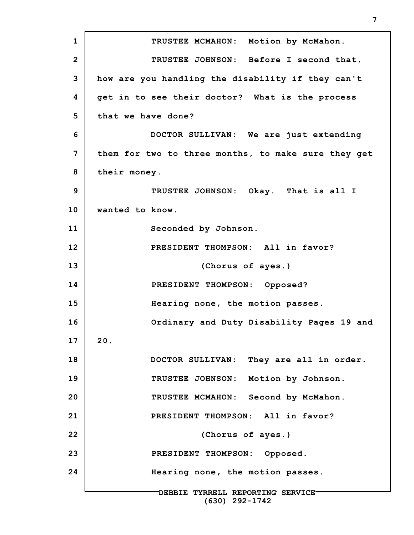**1 2 3 4 5 6 7 8 9 10 11 12 13 14 15 16 17 18 19 20 21 22 23 24 DEBBIE TYRRELL REPORTING SERVICE (630) 292-1742 TRUSTEE MCMAHON: Motion by McMahon. TRUSTEE JOHNSON: Before I second that, how are you handling the disability if they can't get in to see their doctor? What is the process that we have done? DOCTOR SULLIVAN: We are just extending them for two to three months, to make sure they get their money. TRUSTEE JOHNSON: Okay. That is all I wanted to know. Seconded by Johnson. PRESIDENT THOMPSON: All in favor? (Chorus of ayes.) PRESIDENT THOMPSON: Opposed? Hearing none, the motion passes. Ordinary and Duty Disability Pages 19 and 20. DOCTOR SULLIVAN: They are all in order. TRUSTEE JOHNSON: Motion by Johnson. TRUSTEE MCMAHON: Second by McMahon. PRESIDENT THOMPSON: All in favor? (Chorus of ayes.) PRESIDENT THOMPSON: Opposed. Hearing none, the motion passes.**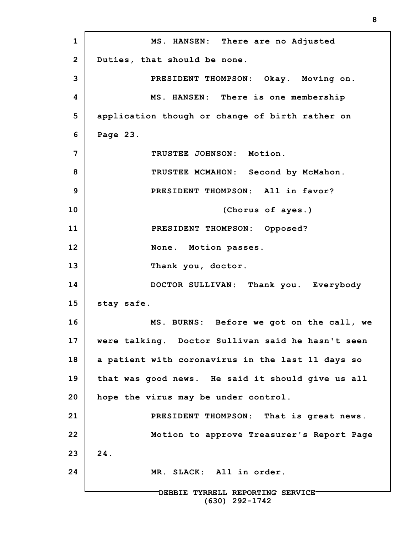**1 2 3 4 5 6 7 8 9 10 11 12 13 14 15 16 17 18 19 20 21 22 23 24 DEBBIE TYRRELL REPORTING SERVICE MS. HANSEN: There are no Adjusted Duties, that should be none. PRESIDENT THOMPSON: Okay. Moving on. MS. HANSEN: There is one membership application though or change of birth rather on Page 23. TRUSTEE JOHNSON: Motion. TRUSTEE MCMAHON: Second by McMahon. PRESIDENT THOMPSON: All in favor? (Chorus of ayes.) PRESIDENT THOMPSON: Opposed? None. Motion passes. Thank you, doctor. DOCTOR SULLIVAN: Thank you. Everybody stay safe. MS. BURNS: Before we got on the call, we were talking. Doctor Sullivan said he hasn't seen a patient with coronavirus in the last 11 days so that was good news. He said it should give us all hope the virus may be under control. PRESIDENT THOMPSON: That is great news. Motion to approve Treasurer's Report Page 24. MR. SLACK: All in order.**

**(630) 292-1742**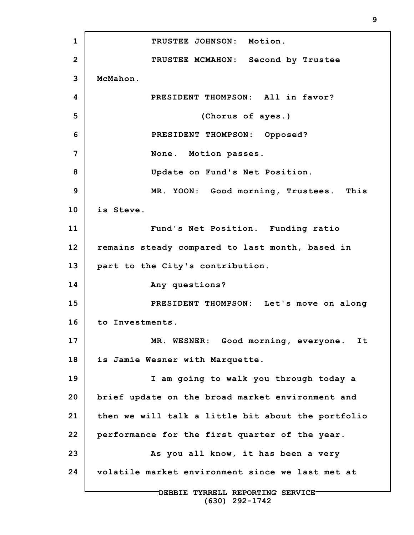**1 2 3 4 5 6 7 8 9 10 11 12 13 14 15 16 17 18 19 20 21 22 23 24 DEBBIE TYRRELL REPORTING SERVICE TRUSTEE JOHNSON: Motion. TRUSTEE MCMAHON: Second by Trustee McMahon. PRESIDENT THOMPSON: All in favor? (Chorus of ayes.) PRESIDENT THOMPSON: Opposed? None. Motion passes. Update on Fund's Net Position. MR. YOON: Good morning, Trustees. This is Steve. Fund's Net Position. Funding ratio remains steady compared to last month, based in part to the City's contribution. Any questions? PRESIDENT THOMPSON: Let's move on along to Investments. MR. WESNER: Good morning, everyone. It is Jamie Wesner with Marquette. I am going to walk you through today a brief update on the broad market environment and then we will talk a little bit about the portfolio performance for the first quarter of the year. As you all know, it has been a very volatile market environment since we last met at**

**9**

**(630) 292-1742**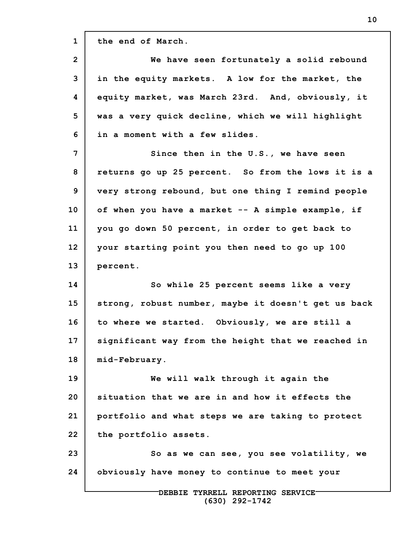**1 2 3 4 5 6 7 8 9 10 11 12 13 14 15 16 17 18 19 20 21 22 23 24 DEBBIE TYRRELL REPORTING SERVICE the end of March. We have seen fortunately a solid rebound in the equity markets. A low for the market, the equity market, was March 23rd. And, obviously, it was a very quick decline, which we will highlight in a moment with a few slides. Since then in the U.S., we have seen returns go up 25 percent. So from the lows it is a very strong rebound, but one thing I remind people of when you have a market -- A simple example, if you go down 50 percent, in order to get back to your starting point you then need to go up 100 percent. So while 25 percent seems like a very strong, robust number, maybe it doesn't get us back to where we started. Obviously, we are still a significant way from the height that we reached in mid-February. We will walk through it again the situation that we are in and how it effects the portfolio and what steps we are taking to protect the portfolio assets. So as we can see, you see volatility, we obviously have money to continue to meet your**

**(630) 292-1742**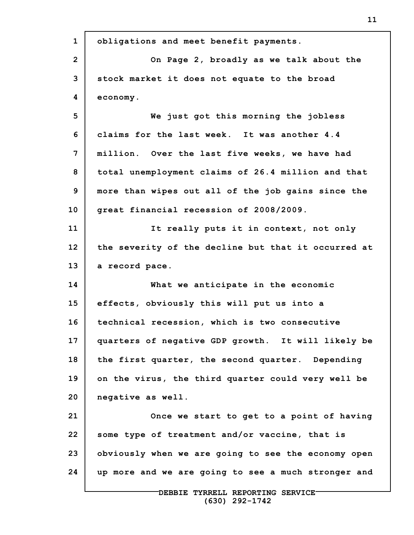| $\mathbf{1}$   | obligations and meet benefit payments.              |
|----------------|-----------------------------------------------------|
| $\overline{2}$ | On Page 2, broadly as we talk about the             |
| 3              | stock market it does not equate to the broad        |
| 4              | economy.                                            |
| 5              | We just got this morning the jobless                |
| 6              | claims for the last week. It was another 4.4        |
| 7              | million. Over the last five weeks, we have had      |
| 8              | total unemployment claims of 26.4 million and that  |
| 9              | more than wipes out all of the job gains since the  |
| 10             | great financial recession of 2008/2009.             |
| 11             | It really puts it in context, not only              |
| 12             | the severity of the decline but that it occurred at |
| 13             | a record pace.                                      |
| 14             | What we anticipate in the economic                  |
| 15             | effects, obviously this will put us into a          |
| 16             | technical recession, which is two consecutive       |
| 17             | quarters of negative GDP growth. It will likely be  |
| 18             | the first quarter, the second quarter. Depending    |
| 19             | on the virus, the third quarter could very well be  |
| 20             | negative as well.                                   |
| 21             | Once we start to get to a point of having           |
| 22             | some type of treatment and/or vaccine, that is      |
| 23             | obviously when we are going to see the economy open |
| 24             | up more and we are going to see a much stronger and |
|                |                                                     |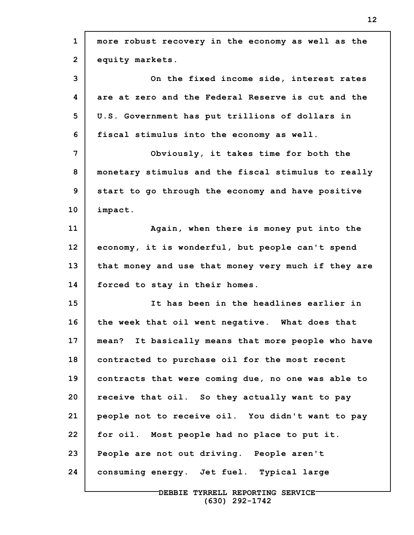| $\mathbf{1}$   | more robust recovery in the economy as well as the  |
|----------------|-----------------------------------------------------|
| $\overline{2}$ | equity markets.                                     |
| 3              | On the fixed income side, interest rates            |
| 4              | are at zero and the Federal Reserve is cut and the  |
| 5              | U.S. Government has put trillions of dollars in     |
| 6              | fiscal stimulus into the economy as well.           |
| 7              | Obviously, it takes time for both the               |
| 8              | monetary stimulus and the fiscal stimulus to really |
| 9              | start to go through the economy and have positive   |
| 10             | impact.                                             |
| 11             | Again, when there is money put into the             |
| 12             | economy, it is wonderful, but people can't spend    |
| 13             | that money and use that money very much if they are |
| 14             | forced to stay in their homes.                      |
| 15             | It has been in the headlines earlier in             |
| 16             | the week that oil went negative. What does that     |
| 17             | mean? It basically means that more people who have  |
| 18             | contracted to purchase oil for the most recent      |
| 19             | contracts that were coming due, no one was able to  |
| 20             | receive that oil. So they actually want to pay      |
| 21             | people not to receive oil. You didn't want to pay   |
| 22             | for oil. Most people had no place to put it.        |
| 23             | People are not out driving. People aren't           |
| 24             | consuming energy. Jet fuel. Typical large           |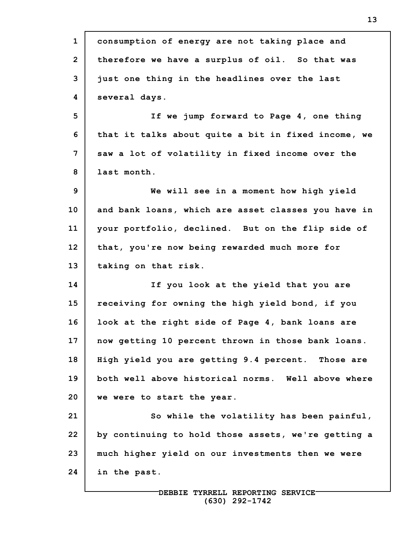| $\mathbf{1}$   | consumption of energy are not taking place and      |
|----------------|-----------------------------------------------------|
| $\overline{2}$ | therefore we have a surplus of oil. So that was     |
| 3              | just one thing in the headlines over the last       |
| 4              | several days.                                       |
| 5              | If we jump forward to Page 4, one thing             |
| 6              | that it talks about quite a bit in fixed income, we |
| 7              | saw a lot of volatility in fixed income over the    |
| 8              | last month.                                         |
| 9              | We will see in a moment how high yield              |
| 10             | and bank loans, which are asset classes you have in |
| 11             | your portfolio, declined. But on the flip side of   |
| 12             | that, you're now being rewarded much more for       |
| 13             | taking on that risk.                                |
| 14             | If you look at the yield that you are               |
| 15             | receiving for owning the high yield bond, if you    |
| 16             | look at the right side of Page 4, bank loans are    |
| 17             | now getting 10 percent thrown in those bank loans.  |
| 18             | High yield you are getting 9.4 percent. Those are   |
| 19             | both well above historical norms. Well above where  |
| 20             | we were to start the year.                          |
| 21             | So while the volatility has been painful,           |
| 22             | by continuing to hold those assets, we're getting a |
| 23             | much higher yield on our investments then we were   |
| 24             | in the past.                                        |
|                |                                                     |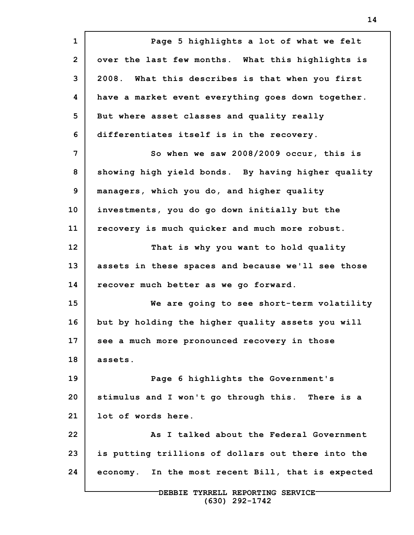**1 2 3 4 5 6 7 8 9 10 11 12 13 14 15 16 17 18 19 20 21 22 23 24 Page 5 highlights a lot of what we felt over the last few months. What this highlights is 2008. What this describes is that when you first have a market event everything goes down together. But where asset classes and quality really differentiates itself is in the recovery. So when we saw 2008/2009 occur, this is showing high yield bonds. By having higher quality managers, which you do, and higher quality investments, you do go down initially but the recovery is much quicker and much more robust. That is why you want to hold quality assets in these spaces and because we'll see those recover much better as we go forward. We are going to see short-term volatility but by holding the higher quality assets you will see a much more pronounced recovery in those assets. Page 6 highlights the Government's stimulus and I won't go through this. There is a lot of words here. As I talked about the Federal Government is putting trillions of dollars out there into the economy. In the most recent Bill, that is expected**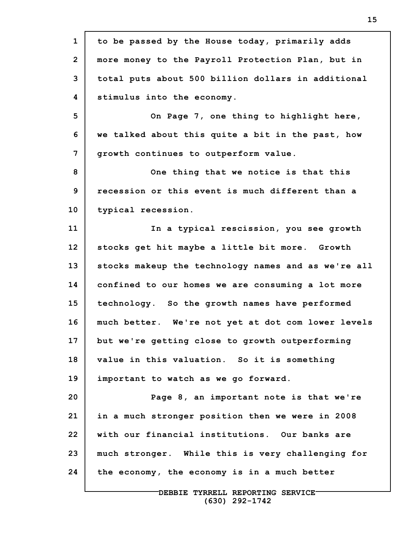**1 2 3 4 5 6 7 8 9 10 11 12 13 14 15 16 17 18 19 20 21 22 23 24 to be passed by the House today, primarily adds more money to the Payroll Protection Plan, but in total puts about 500 billion dollars in additional stimulus into the economy. On Page 7, one thing to highlight here, we talked about this quite a bit in the past, how growth continues to outperform value. One thing that we notice is that this recession or this event is much different than a typical recession. In a typical rescission, you see growth stocks get hit maybe a little bit more. Growth stocks makeup the technology names and as we're all confined to our homes we are consuming a lot more technology. So the growth names have performed much better. We're not yet at dot com lower levels but we're getting close to growth outperforming value in this valuation. So it is something important to watch as we go forward. Page 8, an important note is that we're in a much stronger position then we were in 2008 with our financial institutions. Our banks are much stronger. While this is very challenging for the economy, the economy is in a much better**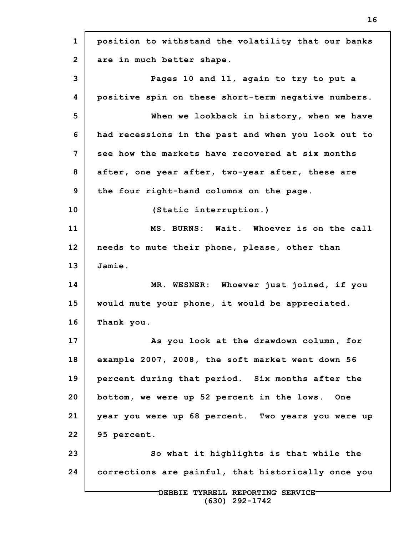**1 2 3 4 5 6 7 8 9 10 11 12 13 14 15 16 17 18 19 20 21 22 23 24 DEBBIE TYRRELL REPORTING SERVICE position to withstand the volatility that our banks are in much better shape. Pages 10 and 11, again to try to put a positive spin on these short-term negative numbers. When we lookback in history, when we have had recessions in the past and when you look out to see how the markets have recovered at six months after, one year after, two-year after, these are the four right-hand columns on the page. (Static interruption.) MS. BURNS: Wait. Whoever is on the call needs to mute their phone, please, other than Jamie. MR. WESNER: Whoever just joined, if you would mute your phone, it would be appreciated. Thank you. As you look at the drawdown column, for example 2007, 2008, the soft market went down 56 percent during that period. Six months after the bottom, we were up 52 percent in the lows. One year you were up 68 percent. Two years you were up 95 percent. So what it highlights is that while the corrections are painful, that historically once you**

**(630) 292-1742**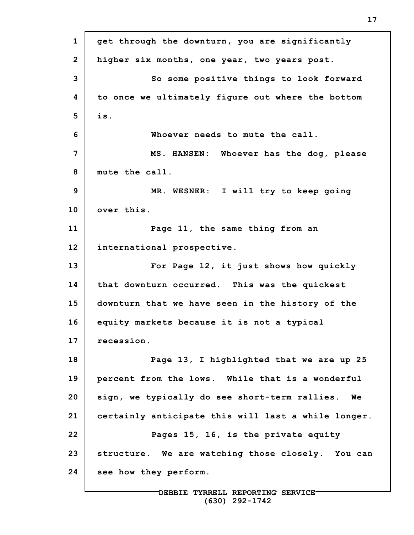**1 2 3 4 5 6 7 8 9 10 11 12 13 14 15 16 17 18 19 20 21 22 23 24 get through the downturn, you are significantly higher six months, one year, two years post. So some positive things to look forward to once we ultimately figure out where the bottom is. Whoever needs to mute the call. MS. HANSEN: Whoever has the dog, please mute the call. MR. WESNER: I will try to keep going over this. Page 11, the same thing from an international prospective. For Page 12, it just shows how quickly that downturn occurred. This was the quickest downturn that we have seen in the history of the equity markets because it is not a typical recession. Page 13, I highlighted that we are up 25 percent from the lows. While that is a wonderful sign, we typically do see short-term rallies. We certainly anticipate this will last a while longer. Pages 15, 16, is the private equity structure. We are watching those closely. You can see how they perform.**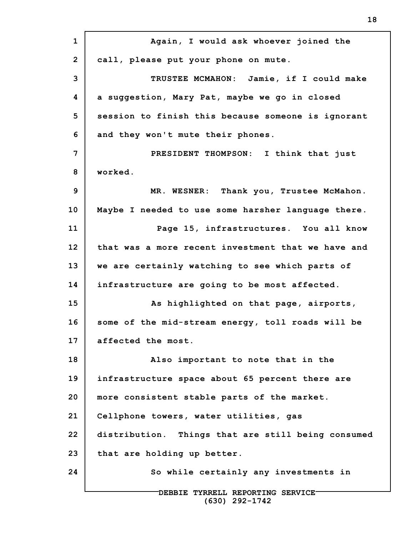**1 2 3 4 5 6 7 8 9 10 11 12 13 14 15 16 17 18 19 20 21 22 23 24 DEBBIE TYRRELL REPORTING SERVICE (630) 292-1742 Again, I would ask whoever joined the call, please put your phone on mute. TRUSTEE MCMAHON: Jamie, if I could make a suggestion, Mary Pat, maybe we go in closed session to finish this because someone is ignorant and they won't mute their phones. PRESIDENT THOMPSON: I think that just worked. MR. WESNER: Thank you, Trustee McMahon. Maybe I needed to use some harsher language there. Page 15, infrastructures. You all know that was a more recent investment that we have and we are certainly watching to see which parts of infrastructure are going to be most affected. As highlighted on that page, airports, some of the mid-stream energy, toll roads will be affected the most. Also important to note that in the infrastructure space about 65 percent there are more consistent stable parts of the market. Cellphone towers, water utilities, gas distribution. Things that are still being consumed that are holding up better. So while certainly any investments in**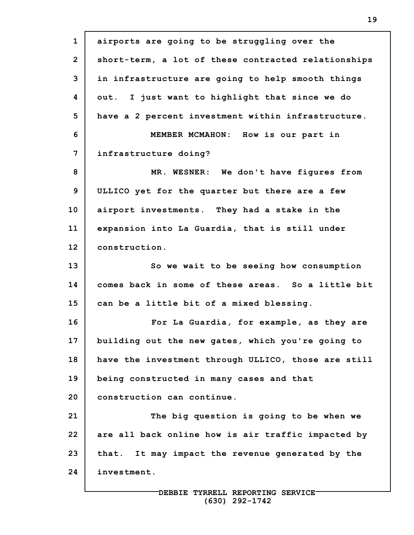**1 2 3 4 5 6 7 8 9 10 11 12 13 14 15 16 17 18 19 20 21 22 23 24 airports are going to be struggling over the short-term, a lot of these contracted relationships in infrastructure are going to help smooth things out. I just want to highlight that since we do have a 2 percent investment within infrastructure. MEMBER MCMAHON: How is our part in infrastructure doing? MR. WESNER: We don't have figures from ULLICO yet for the quarter but there are a few airport investments. They had a stake in the expansion into La Guardia, that is still under construction. So we wait to be seeing how consumption comes back in some of these areas. So a little bit can be a little bit of a mixed blessing. For La Guardia, for example, as they are building out the new gates, which you're going to have the investment through ULLICO, those are still being constructed in many cases and that construction can continue. The big question is going to be when we are all back online how is air traffic impacted by that. It may impact the revenue generated by the investment.**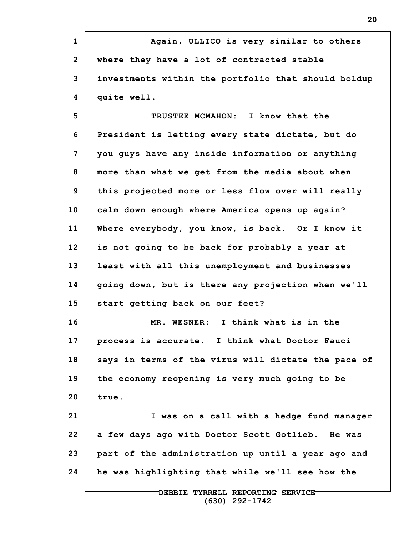**1 2 3 4 5 6 7 8 9 10 11 12 13 14 15 16 17 18 19 20 21 22 23 24 DEBBIE TYRRELL REPORTING SERVICE Again, ULLICO is very similar to others where they have a lot of contracted stable investments within the portfolio that should holdup quite well. TRUSTEE MCMAHON: I know that the President is letting every state dictate, but do you guys have any inside information or anything more than what we get from the media about when this projected more or less flow over will really calm down enough where America opens up again? Where everybody, you know, is back. Or I know it is not going to be back for probably a year at least with all this unemployment and businesses going down, but is there any projection when we'll start getting back on our feet? MR. WESNER: I think what is in the process is accurate. I think what Doctor Fauci says in terms of the virus will dictate the pace of the economy reopening is very much going to be true. I was on a call with a hedge fund manager a few days ago with Doctor Scott Gotlieb. He was part of the administration up until a year ago and he was highlighting that while we'll see how the**

**(630) 292-1742**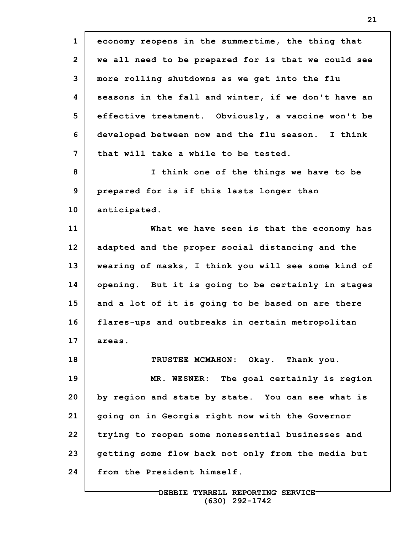**1 2 3 4 5 6 7 8 9 10 11 12 13 14 15 16 17 18 19 20 21 22 23 24 economy reopens in the summertime, the thing that we all need to be prepared for is that we could see more rolling shutdowns as we get into the flu seasons in the fall and winter, if we don't have an effective treatment. Obviously, a vaccine won't be developed between now and the flu season. I think that will take a while to be tested. I think one of the things we have to be prepared for is if this lasts longer than anticipated. What we have seen is that the economy has adapted and the proper social distancing and the wearing of masks, I think you will see some kind of opening. But it is going to be certainly in stages and a lot of it is going to be based on are there flares-ups and outbreaks in certain metropolitan areas. TRUSTEE MCMAHON: Okay. Thank you. MR. WESNER: The goal certainly is region by region and state by state. You can see what is going on in Georgia right now with the Governor trying to reopen some nonessential businesses and getting some flow back not only from the media but from the President himself.**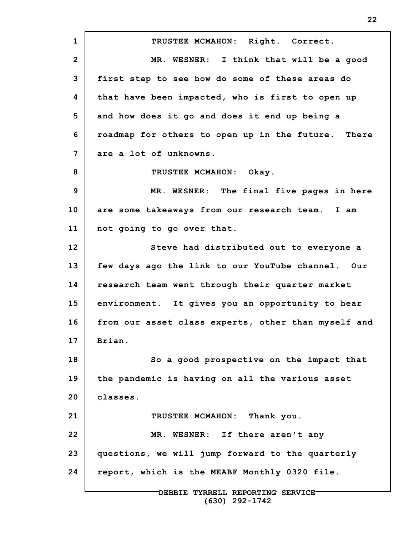**1 2 3 4 5 6 7 8 9 10 11 12 13 14 15 16 17 18 19 20 21 22 23 24 TRUSTEE MCMAHON: Right. Correct. MR. WESNER: I think that will be a good first step to see how do some of these areas do that have been impacted, who is first to open up and how does it go and does it end up being a roadmap for others to open up in the future. There are a lot of unknowns. TRUSTEE MCMAHON: Okay. MR. WESNER: The final five pages in here are some takeaways from our research team. I am not going to go over that. Steve had distributed out to everyone a few days ago the link to our YouTube channel. Our research team went through their quarter market environment. It gives you an opportunity to hear from our asset class experts, other than myself and Brian. So a good prospective on the impact that the pandemic is having on all the various asset classes. TRUSTEE MCMAHON: Thank you. MR. WESNER: If there aren't any questions, we will jump forward to the quarterly report, which is the MEABF Monthly 0320 file.**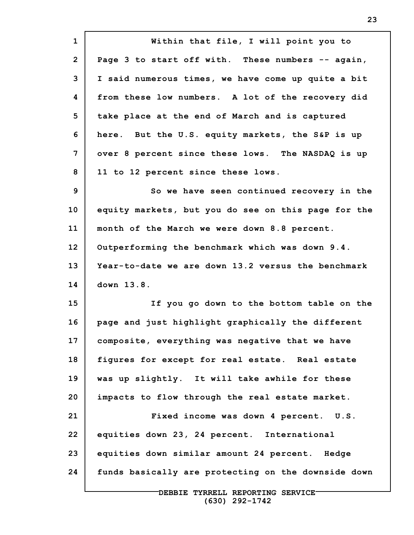**1 2 3 4 5 6 7 8 9 10 11 12 13 14 15 16 17 18 19 20 21 22 23 24 Within that file, I will point you to Page 3 to start off with. These numbers -- again, I said numerous times, we have come up quite a bit from these low numbers. A lot of the recovery did take place at the end of March and is captured here. But the U.S. equity markets, the S&P is up over 8 percent since these lows. The NASDAQ is up 11 to 12 percent since these lows. So we have seen continued recovery in the equity markets, but you do see on this page for the month of the March we were down 8.8 percent. Outperforming the benchmark which was down 9.4. Year-to-date we are down 13.2 versus the benchmark down 13.8. If you go down to the bottom table on the page and just highlight graphically the different composite, everything was negative that we have figures for except for real estate. Real estate was up slightly. It will take awhile for these impacts to flow through the real estate market. Fixed income was down 4 percent. U.S. equities down 23, 24 percent. International equities down similar amount 24 percent. Hedge funds basically are protecting on the downside down**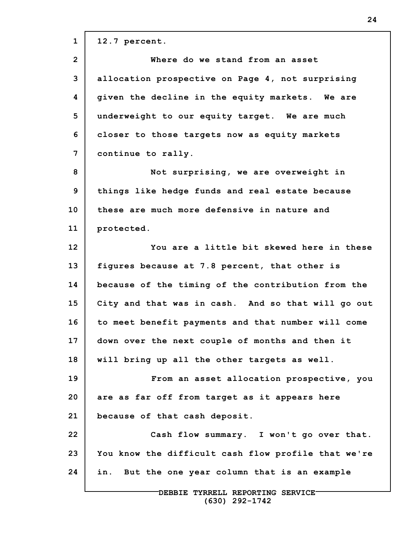**1 2 3 4 5 6 7 8 9 10 11 12 13 14 15 16 17 18 19 20 21 22 23 24 12.7 percent. Where do we stand from an asset allocation prospective on Page 4, not surprising given the decline in the equity markets. We are underweight to our equity target. We are much closer to those targets now as equity markets continue to rally. Not surprising, we are overweight in things like hedge funds and real estate because these are much more defensive in nature and protected. You are a little bit skewed here in these figures because at 7.8 percent, that other is because of the timing of the contribution from the City and that was in cash. And so that will go out to meet benefit payments and that number will come down over the next couple of months and then it will bring up all the other targets as well. From an asset allocation prospective, you are as far off from target as it appears here because of that cash deposit. Cash flow summary. I won't go over that. You know the difficult cash flow profile that we're in. But the one year column that is an example**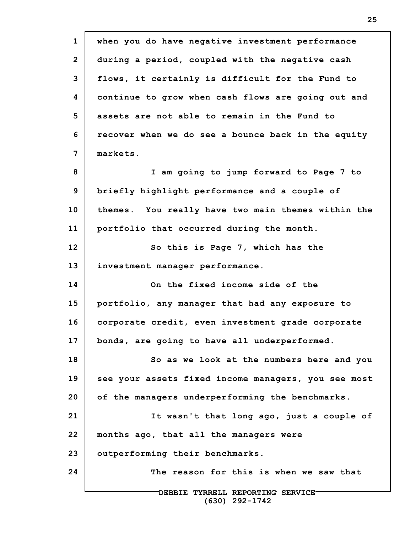**1 2 3 4 5 6 7 8 9 10 11 12 13 14 15 16 17 18 19 20 21 22 23 24 DEBBIE TYRRELL REPORTING SERVICE (630) 292-1742 when you do have negative investment performance during a period, coupled with the negative cash flows, it certainly is difficult for the Fund to continue to grow when cash flows are going out and assets are not able to remain in the Fund to recover when we do see a bounce back in the equity markets. I am going to jump forward to Page 7 to briefly highlight performance and a couple of themes. You really have two main themes within the portfolio that occurred during the month. So this is Page 7, which has the investment manager performance. On the fixed income side of the portfolio, any manager that had any exposure to corporate credit, even investment grade corporate bonds, are going to have all underperformed. So as we look at the numbers here and you see your assets fixed income managers, you see most of the managers underperforming the benchmarks. It wasn't that long ago, just a couple of months ago, that all the managers were outperforming their benchmarks. The reason for this is when we saw that**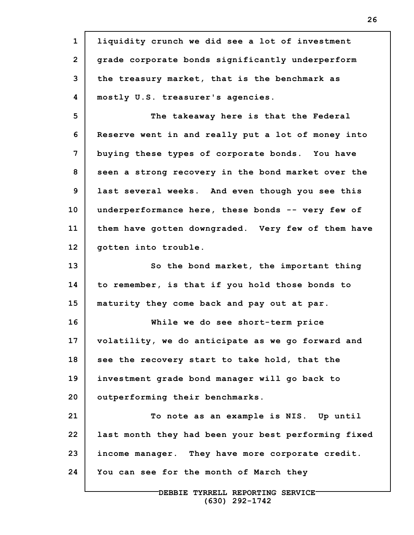**1 2 3 4 5 6 7 8 9 10 11 12 13 14 15 16 17 18 19 20 21 22 23 24 liquidity crunch we did see a lot of investment grade corporate bonds significantly underperform the treasury market, that is the benchmark as mostly U.S. treasurer's agencies. The takeaway here is that the Federal Reserve went in and really put a lot of money into buying these types of corporate bonds. You have seen a strong recovery in the bond market over the last several weeks. And even though you see this underperformance here, these bonds -- very few of them have gotten downgraded. Very few of them have gotten into trouble. So the bond market, the important thing to remember, is that if you hold those bonds to maturity they come back and pay out at par. While we do see short-term price volatility, we do anticipate as we go forward and see the recovery start to take hold, that the investment grade bond manager will go back to outperforming their benchmarks. To note as an example is NIS. Up until last month they had been your best performing fixed income manager. They have more corporate credit. You can see for the month of March they**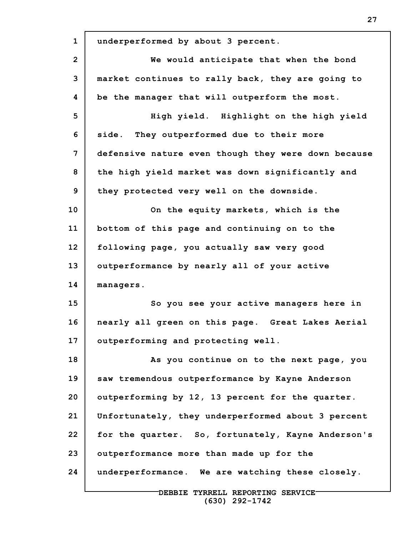| $\mathbf{1}$ | underperformed by about 3 percent.                  |
|--------------|-----------------------------------------------------|
| $\mathbf{2}$ | We would anticipate that when the bond              |
| 3            | market continues to rally back, they are going to   |
| 4            | be the manager that will outperform the most.       |
| 5            | High yield. Highlight on the high yield             |
| 6            | side. They outperformed due to their more           |
| 7            | defensive nature even though they were down because |
| 8            | the high yield market was down significantly and    |
| 9            | they protected very well on the downside.           |
| 10           | On the equity markets, which is the                 |
| 11           | bottom of this page and continuing on to the        |
| 12           | following page, you actually saw very good          |
| 13           | outperformance by nearly all of your active         |
| 14           | managers.                                           |
| 15           | So you see your active managers here in             |
| 16           | nearly all green on this page. Great Lakes Aerial   |
| 17           | outperforming and protecting well.                  |
| 18           | As you continue on to the next page, you            |
| 19           | saw tremendous outperformance by Kayne Anderson     |
| 20           | outperforming by 12, 13 percent for the quarter.    |
| 21           | Unfortunately, they underperformed about 3 percent  |
| 22           | for the quarter. So, fortunately, Kayne Anderson's  |
| 23           | outperformance more than made up for the            |
| 24           | underperformance. We are watching these closely.    |
|              | DEBBIE TYRRELL REPORTING SERVICE                    |

**(630) 292-1742**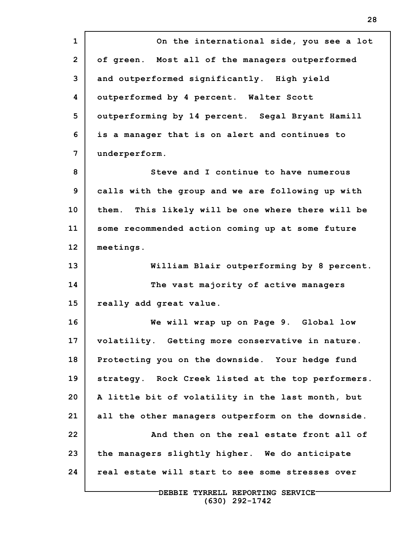**1 2 3 4 5 6 7 8 9 10 11 12 13 14 15 16 17 18 19 20 21 22 23 24 On the international side, you see a lot of green. Most all of the managers outperformed and outperformed significantly. High yield outperformed by 4 percent. Walter Scott outperforming by 14 percent. Segal Bryant Hamill is a manager that is on alert and continues to underperform. Steve and I continue to have numerous calls with the group and we are following up with them. This likely will be one where there will be some recommended action coming up at some future meetings. William Blair outperforming by 8 percent. The vast majority of active managers really add great value. We will wrap up on Page 9. Global low volatility. Getting more conservative in nature. Protecting you on the downside. Your hedge fund strategy. Rock Creek listed at the top performers. A little bit of volatility in the last month, but all the other managers outperform on the downside. And then on the real estate front all of the managers slightly higher. We do anticipate real estate will start to see some stresses over**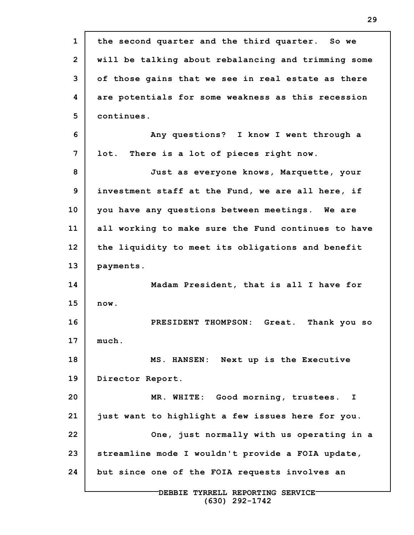| $\mathbf{1}$   | the second quarter and the third quarter. So we       |
|----------------|-------------------------------------------------------|
| $\overline{2}$ | will be talking about rebalancing and trimming some   |
| 3              | of those gains that we see in real estate as there    |
| 4              | are potentials for some weakness as this recession    |
| 5              | continues.                                            |
| 6              | Any questions? I know I went through a                |
| 7              | There is a lot of pieces right now.<br>lot.           |
| 8              | Just as everyone knows, Marquette, your               |
| 9              | investment staff at the Fund, we are all here, if     |
| 10             | you have any questions between meetings. We are       |
| 11             | all working to make sure the Fund continues to have   |
| 12             | the liquidity to meet its obligations and benefit     |
| 13             | payments.                                             |
| 14             | Madam President, that is all I have for               |
| 15             | now.                                                  |
| 16             | PRESIDENT THOMPSON: Great.<br>Thank you so            |
| 17             | much.                                                 |
| 18             | MS. HANSEN: Next up is the Executive                  |
| 19             | Director Report.                                      |
| 20             | MR. WHITE: Good morning, trustees. I                  |
| 21             | just want to highlight a few issues here for you.     |
| 22             | One, just normally with us operating in a             |
| 23             | streamline mode I wouldn't provide a FOIA update,     |
| 24             | but since one of the FOIA requests involves an        |
|                | DEBBIE TYRRELL REPORTING SERVICE-<br>$(630)$ 292-1742 |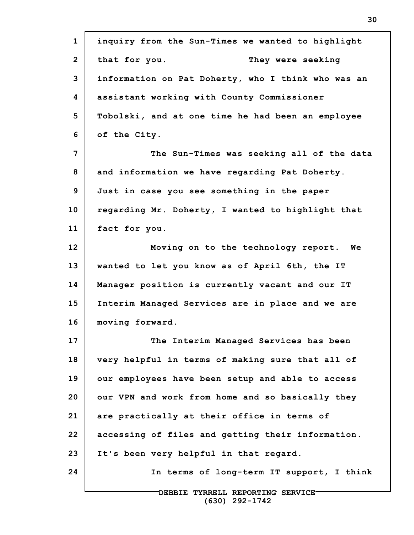| $\mathbf{1}$   | inquiry from the Sun-Times we wanted to highlight  |
|----------------|----------------------------------------------------|
| $\overline{2}$ | that for you.<br>They were seeking                 |
| 3              | information on Pat Doherty, who I think who was an |
| 4              | assistant working with County Commissioner         |
| 5              | Tobolski, and at one time he had been an employee  |
| 6              | of the City.                                       |
| 7              | The Sun-Times was seeking all of the data          |
| 8              | and information we have regarding Pat Doherty.     |
| 9              | Just in case you see something in the paper        |
| 10             | regarding Mr. Doherty, I wanted to highlight that  |
| 11             | fact for you.                                      |
| 12             | Moving on to the technology report. We             |
| 13             | wanted to let you know as of April 6th, the IT     |
| 14             | Manager position is currently vacant and our IT    |
| 15             | Interim Managed Services are in place and we are   |
| 16             | moving forward.                                    |
| 17             | The Interim Managed Services has been              |
| 18             | very helpful in terms of making sure that all of   |
| 19             | our employees have been setup and able to access   |
| 20             | our VPN and work from home and so basically they   |
| 21             | are practically at their office in terms of        |
| 22             | accessing of files and getting their information.  |
| 23             | It's been very helpful in that regard.             |
| 24             | In terms of long-term IT support, I think          |
|                | DEBBIE TYRRELL REPORTING SERVICE-                  |

**(630) 292-1742**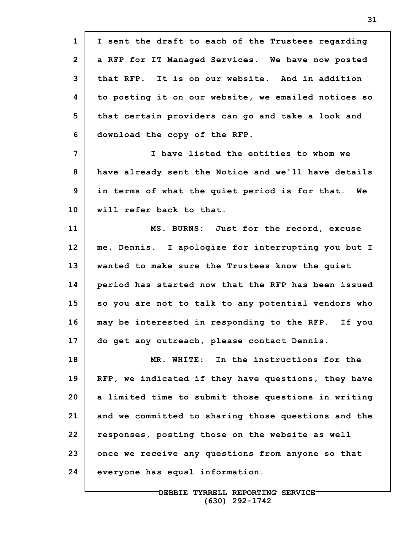**1 2 3 4 5 6 7 8 9 10 11 12 13 14 15 16 17 18 19 20 21 22 23 24 I sent the draft to each of the Trustees regarding a RFP for IT Managed Services. We have now posted that RFP. It is on our website. And in addition to posting it on our website, we emailed notices so that certain providers can go and take a look and download the copy of the RFP. I have listed the entities to whom we have already sent the Notice and we'll have details in terms of what the quiet period is for that. We will refer back to that. MS. BURNS: Just for the record, excuse me, Dennis. I apologize for interrupting you but I wanted to make sure the Trustees know the quiet period has started now that the RFP has been issued so you are not to talk to any potential vendors who may be interested in responding to the RFP. If you do get any outreach, please contact Dennis. MR. WHITE: In the instructions for the RFP, we indicated if they have questions, they have a limited time to submit those questions in writing and we committed to sharing those questions and the responses, posting those on the website as well once we receive any questions from anyone so that everyone has equal information.**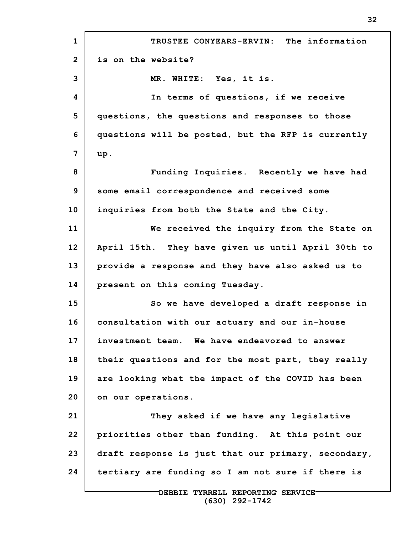**1 2 3 4 5 6 7 8 9 10 11 12 13 14 15 16 17 18 19 20 21 22 23 24 TRUSTEE CONYEARS-ERVIN: The information is on the website? MR. WHITE: Yes, it is. In terms of questions, if we receive questions, the questions and responses to those questions will be posted, but the RFP is currently up. Funding Inquiries. Recently we have had some email correspondence and received some inquiries from both the State and the City. We received the inquiry from the State on April 15th. They have given us until April 30th to provide a response and they have also asked us to present on this coming Tuesday. So we have developed a draft response in consultation with our actuary and our in-house investment team. We have endeavored to answer their questions and for the most part, they really are looking what the impact of the COVID has been on our operations. They asked if we have any legislative priorities other than funding. At this point our draft response is just that our primary, secondary, tertiary are funding so I am not sure if there is**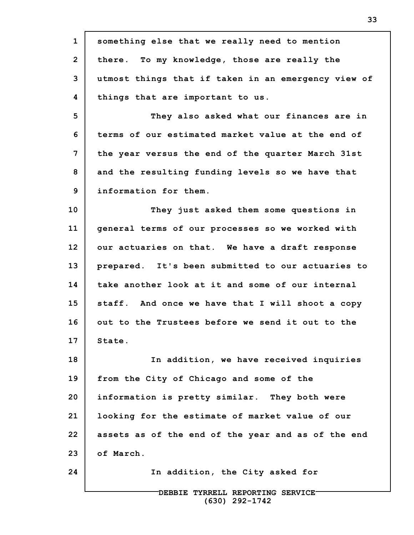| $\mathbf{1}$    | something else that we really need to mention       |
|-----------------|-----------------------------------------------------|
| $\overline{2}$  | there. To my knowledge, those are really the        |
| 3               | utmost things that if taken in an emergency view of |
| 4               | things that are important to us.                    |
| 5               | They also asked what our finances are in            |
| 6               | terms of our estimated market value at the end of   |
| 7               | the year versus the end of the quarter March 31st   |
| 8               | and the resulting funding levels so we have that    |
| 9               | information for them.                               |
| 10 <sub>1</sub> | They just asked them some questions in              |
| 11              | general terms of our processes so we worked with    |
| 12              | our actuaries on that. We have a draft response     |
| 13              | prepared. It's been submitted to our actuaries to   |
| 14              | take another look at it and some of our internal    |
| 15              | staff. And once we have that I will shoot a copy    |
| 16              | out to the Trustees before we send it out to the    |
| 17              | State.                                              |
| 18              | In addition, we have received inquiries             |
| 19              | from the City of Chicago and some of the            |
| 20              | information is pretty similar. They both were       |
| 21              | looking for the estimate of market value of our     |
| 22              | assets as of the end of the year and as of the end  |
| 23              | of March.                                           |
| 24              | In addition, the City asked for                     |
|                 |                                                     |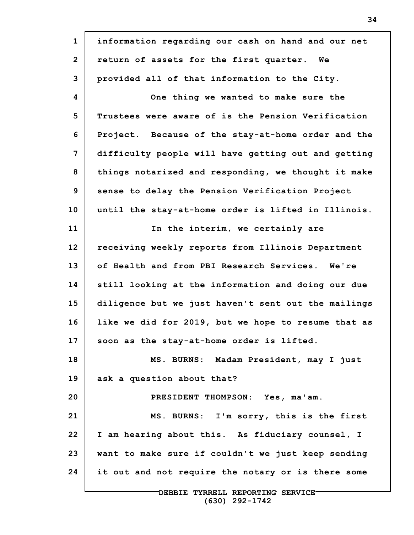**1 2 3 4 5 6 7 8 9 10 11 12 13 14 15 16 17 18 19 20 21 22 23 24 information regarding our cash on hand and our net return of assets for the first quarter. We provided all of that information to the City. One thing we wanted to make sure the Trustees were aware of is the Pension Verification Project. Because of the stay-at-home order and the difficulty people will have getting out and getting things notarized and responding, we thought it make sense to delay the Pension Verification Project until the stay-at-home order is lifted in Illinois. In the interim, we certainly are receiving weekly reports from Illinois Department of Health and from PBI Research Services. We're still looking at the information and doing our due diligence but we just haven't sent out the mailings like we did for 2019, but we hope to resume that as soon as the stay-at-home order is lifted. MS. BURNS: Madam President, may I just ask a question about that? PRESIDENT THOMPSON: Yes, ma'am. MS. BURNS: I'm sorry, this is the first I am hearing about this. As fiduciary counsel, I want to make sure if couldn't we just keep sending it out and not require the notary or is there some**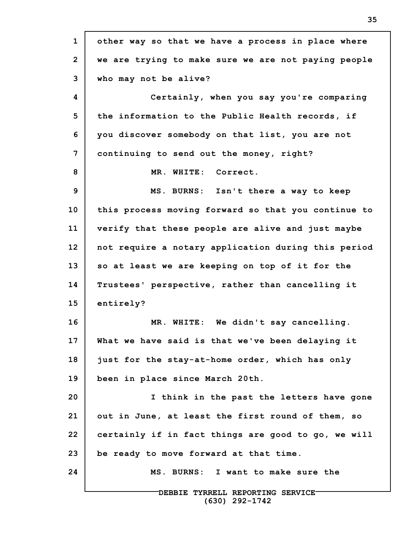**1 2 3 4 5 6 7 8 9 10 11 12 13 14 15 16 17 18 19 20 21 22 23 24 DEBBIE TYRRELL REPORTING SERVICE other way so that we have a process in place where we are trying to make sure we are not paying people who may not be alive? Certainly, when you say you're comparing the information to the Public Health records, if you discover somebody on that list, you are not continuing to send out the money, right? MR. WHITE: Correct. MS. BURNS: Isn't there a way to keep this process moving forward so that you continue to verify that these people are alive and just maybe not require a notary application during this period so at least we are keeping on top of it for the Trustees' perspective, rather than cancelling it entirely? MR. WHITE: We didn't say cancelling. What we have said is that we've been delaying it just for the stay-at-home order, which has only been in place since March 20th. I think in the past the letters have gone out in June, at least the first round of them, so certainly if in fact things are good to go, we will be ready to move forward at that time. MS. BURNS: I want to make sure the**

**(630) 292-1742**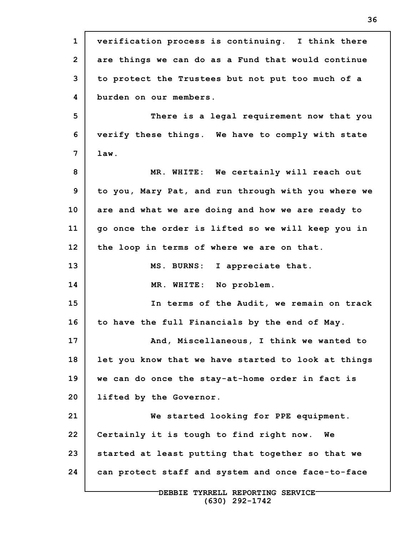**1 2 3 4 5 6 7 8 9 10 11 12 13 14 15 16 17 18 19 20 21 22 23 24 DEBBIE TYRRELL REPORTING SERVICE verification process is continuing. I think there are things we can do as a Fund that would continue to protect the Trustees but not put too much of a burden on our members. There is a legal requirement now that you verify these things. We have to comply with state law. MR. WHITE: We certainly will reach out to you, Mary Pat, and run through with you where we are and what we are doing and how we are ready to go once the order is lifted so we will keep you in the loop in terms of where we are on that. MS. BURNS: I appreciate that. MR. WHITE: No problem. In terms of the Audit, we remain on track to have the full Financials by the end of May. And, Miscellaneous, I think we wanted to let you know that we have started to look at things we can do once the stay-at-home order in fact is lifted by the Governor. We started looking for PPE equipment. Certainly it is tough to find right now. We started at least putting that together so that we can protect staff and system and once face-to-face**

**(630) 292-1742**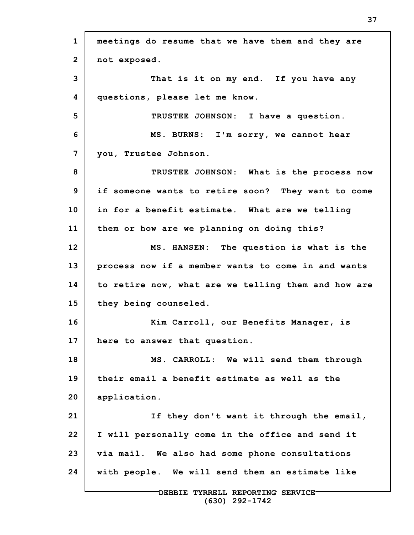**1 2 3 4 5 6 7 8 9 10 11 12 13 14 15 16 17 18 19 20 21 22 23 24 DEBBIE TYRRELL REPORTING SERVICE meetings do resume that we have them and they are not exposed. That is it on my end. If you have any questions, please let me know. TRUSTEE JOHNSON: I have a question. MS. BURNS: I'm sorry, we cannot hear you, Trustee Johnson. TRUSTEE JOHNSON: What is the process now if someone wants to retire soon? They want to come in for a benefit estimate. What are we telling them or how are we planning on doing this? MS. HANSEN: The question is what is the process now if a member wants to come in and wants to retire now, what are we telling them and how are they being counseled. Kim Carroll, our Benefits Manager, is here to answer that question. MS. CARROLL: We will send them through their email a benefit estimate as well as the application. If they don't want it through the email, I will personally come in the office and send it via mail. We also had some phone consultations with people. We will send them an estimate like**

**(630) 292-1742**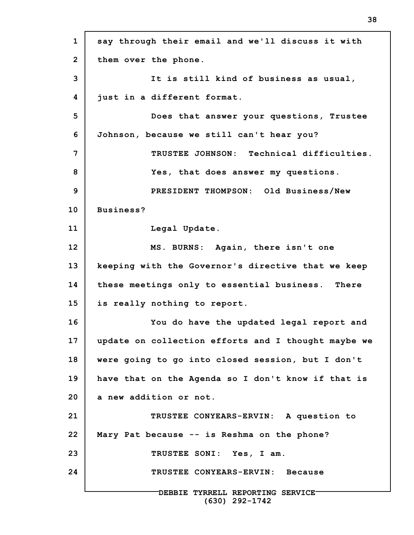**1 2 3 4 5 6 7 8 9 10 11 12 13 14 15 16 17 18 19 20 21 22 23 24 DEBBIE TYRRELL REPORTING SERVICE (630) 292-1742 say through their email and we'll discuss it with them over the phone. It is still kind of business as usual, just in a different format. Does that answer your questions, Trustee Johnson, because we still can't hear you? TRUSTEE JOHNSON: Technical difficulties. Yes, that does answer my questions. PRESIDENT THOMPSON: Old Business/New Business? Legal Update. MS. BURNS: Again, there isn't one keeping with the Governor's directive that we keep these meetings only to essential business. There is really nothing to report. You do have the updated legal report and update on collection efforts and I thought maybe we were going to go into closed session, but I don't have that on the Agenda so I don't know if that is a new addition or not. TRUSTEE CONYEARS-ERVIN: A question to Mary Pat because -- is Reshma on the phone? TRUSTEE SONI: Yes, I am. TRUSTEE CONYEARS-ERVIN: Because**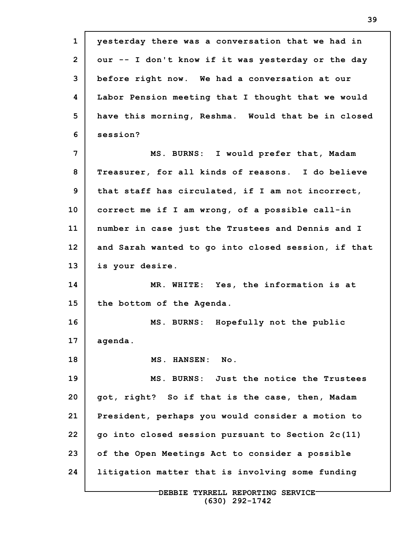**1 2 3 4 5 6 7 8 9 10 11 12 13 14 15 16 17 18 19 20 21 22 23 24 yesterday there was a conversation that we had in our -- I don't know if it was yesterday or the day before right now. We had a conversation at our Labor Pension meeting that I thought that we would have this morning, Reshma. Would that be in closed session? MS. BURNS: I would prefer that, Madam Treasurer, for all kinds of reasons. I do believe that staff has circulated, if I am not incorrect, correct me if I am wrong, of a possible call-in number in case just the Trustees and Dennis and I and Sarah wanted to go into closed session, if that is your desire. MR. WHITE: Yes, the information is at the bottom of the Agenda. MS. BURNS: Hopefully not the public agenda. MS. HANSEN: No. MS. BURNS: Just the notice the Trustees got, right? So if that is the case, then, Madam President, perhaps you would consider a motion to go into closed session pursuant to Section 2c(11) of the Open Meetings Act to consider a possible litigation matter that is involving some funding**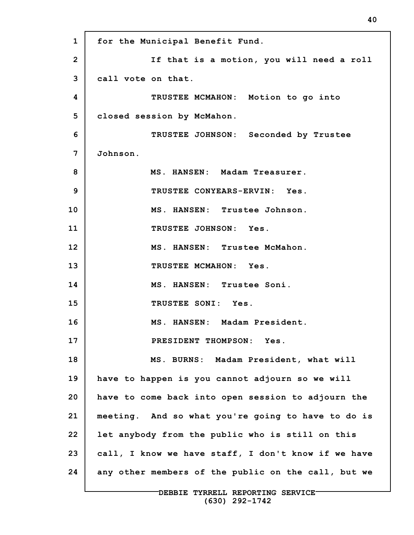**1 2 3 4 5 6 7 8 9 10 11 12 13 14 15 16 17 18 19 20 21 22 23 24 for the Municipal Benefit Fund. If that is a motion, you will need a roll call vote on that. TRUSTEE MCMAHON: Motion to go into closed session by McMahon. TRUSTEE JOHNSON: Seconded by Trustee Johnson. MS. HANSEN: Madam Treasurer. TRUSTEE CONYEARS-ERVIN: Yes. MS. HANSEN: Trustee Johnson. TRUSTEE JOHNSON: Yes. MS. HANSEN: Trustee McMahon. TRUSTEE MCMAHON: Yes. MS. HANSEN: Trustee Soni. TRUSTEE SONI: Yes. MS. HANSEN: Madam President. PRESIDENT THOMPSON: Yes. MS. BURNS: Madam President, what will have to happen is you cannot adjourn so we will have to come back into open session to adjourn the meeting. And so what you're going to have to do is let anybody from the public who is still on this call, I know we have staff, I don't know if we have any other members of the public on the call, but we**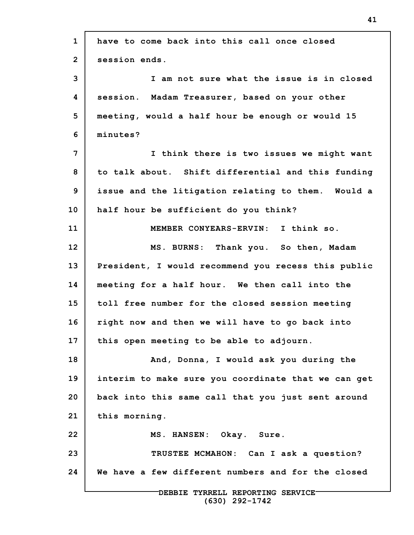| $\mathbf{1}$   | have to come back into this call once closed        |
|----------------|-----------------------------------------------------|
| $\overline{2}$ | session ends.                                       |
| 3              | I am not sure what the issue is in closed           |
| 4              | session. Madam Treasurer, based on your other       |
| 5              | meeting, would a half hour be enough or would 15    |
| 6              | minutes?                                            |
| 7              | I think there is two issues we might want           |
| 8              | to talk about. Shift differential and this funding  |
| 9              | issue and the litigation relating to them. Would a  |
| 10             | half hour be sufficient do you think?               |
| 11             | MEMBER CONYEARS-ERVIN: I think so.                  |
| 12             | MS. BURNS: Thank you. So then, Madam                |
| 13             | President, I would recommend you recess this public |
| 14             | meeting for a half hour. We then call into the      |
| 15             | toll free number for the closed session meeting     |
| 16             | right now and then we will have to go back into     |
| 17             | this open meeting to be able to adjourn.            |
| 18             | And, Donna, I would ask you during the              |
| 19             | interim to make sure you coordinate that we can get |
| 20             | back into this same call that you just sent around  |
| 21             | this morning.                                       |
| 22             | MS. HANSEN: Okay. Sure.                             |
| 23             | TRUSTEE MCMAHON: Can I ask a question?              |
| 24             | We have a few different numbers and for the closed  |
|                | DEBBIE TYRRELL REPORTING SERVICE-                   |

**(630) 292-1742**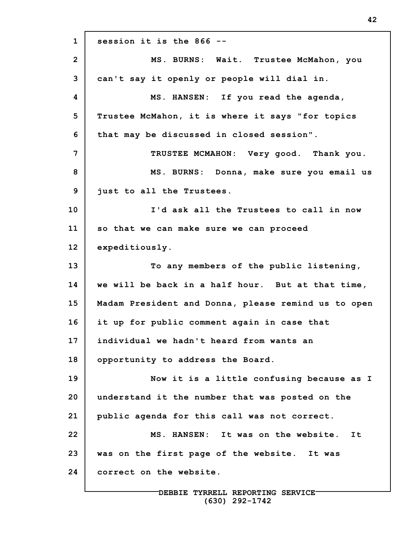**1 2 3 4 5 6 7 8 9 10 11 12 13 14 15 16 17 18 19 20 21 22 23 24 session it is the 866 -- MS. BURNS: Wait. Trustee McMahon, you can't say it openly or people will dial in. MS. HANSEN: If you read the agenda, Trustee McMahon, it is where it says "for topics that may be discussed in closed session". TRUSTEE MCMAHON: Very good. Thank you. MS. BURNS: Donna, make sure you email us just to all the Trustees. I'd ask all the Trustees to call in now so that we can make sure we can proceed expeditiously. To any members of the public listening, we will be back in a half hour. But at that time, Madam President and Donna, please remind us to open it up for public comment again in case that individual we hadn't heard from wants an opportunity to address the Board. Now it is a little confusing because as I understand it the number that was posted on the public agenda for this call was not correct. MS. HANSEN: It was on the website. It was on the first page of the website. It was correct on the website.**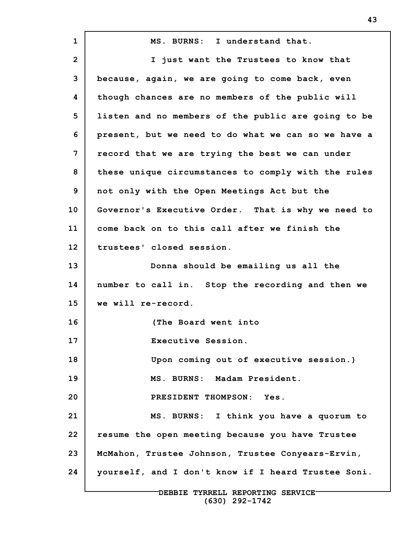**1 2 3 4 5 6 7 8 9 10 11 12 13 14 15 16 17 18 19 20 21 22 23 24 MS. BURNS: I understand that. I just want the Trustees to know that because, again, we are going to come back, even though chances are no members of the public will listen and no members of the public are going to be present, but we need to do what we can so we have a record that we are trying the best we can under these unique circumstances to comply with the rules not only with the Open Meetings Act but the Governor's Executive Order. That is why we need to come back on to this call after we finish the trustees' closed session. Donna should be emailing us all the number to call in. Stop the recording and then we we will re-record. (The Board went into Executive Session. Upon coming out of executive session.) MS. BURNS: Madam President. PRESIDENT THOMPSON: Yes. MS. BURNS: I think you have a quorum to resume the open meeting because you have Trustee McMahon, Trustee Johnson, Trustee Conyears-Ervin, yourself, and I don't know if I heard Trustee Soni.**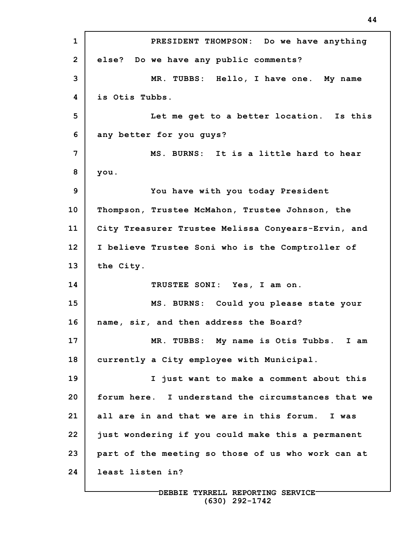**1 2 3 4 5 6 7 8 9 10 11 12 13 14 15 16 17 18 19 20 21 22 23 24 PRESIDENT THOMPSON: Do we have anything else? Do we have any public comments? MR. TUBBS: Hello, I have one. My name is Otis Tubbs. Let me get to a better location. Is this any better for you guys? MS. BURNS: It is a little hard to hear you. You have with you today President Thompson, Trustee McMahon, Trustee Johnson, the City Treasurer Trustee Melissa Conyears-Ervin, and I believe Trustee Soni who is the Comptroller of the City. TRUSTEE SONI: Yes, I am on. MS. BURNS: Could you please state your name, sir, and then address the Board? MR. TUBBS: My name is Otis Tubbs. I am currently a City employee with Municipal. I just want to make a comment about this forum here. I understand the circumstances that we all are in and that we are in this forum. I was just wondering if you could make this a permanent part of the meeting so those of us who work can at least listen in?**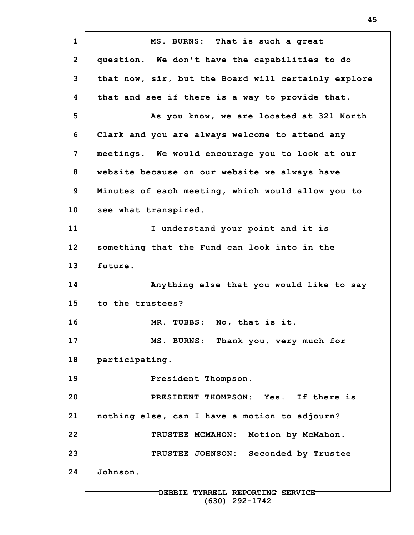**1 2 3 4 5 6 7 8 9 10 11 12 13 14 15 16 17 18 19 20 21 22 23 24 MS. BURNS: That is such a great question. We don't have the capabilities to do that now, sir, but the Board will certainly explore that and see if there is a way to provide that. As you know, we are located at 321 North Clark and you are always welcome to attend any meetings. We would encourage you to look at our website because on our website we always have Minutes of each meeting, which would allow you to see what transpired. I understand your point and it is something that the Fund can look into in the future. Anything else that you would like to say to the trustees? MR. TUBBS: No, that is it. MS. BURNS: Thank you, very much for participating. President Thompson. PRESIDENT THOMPSON: Yes. If there is nothing else, can I have a motion to adjourn? TRUSTEE MCMAHON: Motion by McMahon. TRUSTEE JOHNSON: Seconded by Trustee Johnson.**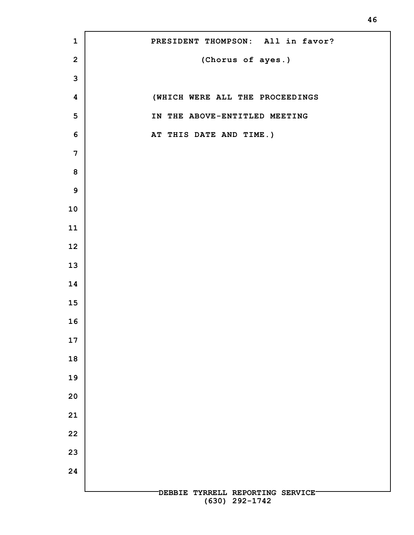**DEBBIE TYRRELL REPORTING SERVICE (630) 292-1742 PRESIDENT THOMPSON: All in favor? (Chorus of ayes.) (WHICH WERE ALL THE PROCEEDINGS IN THE ABOVE-ENTITLED MEETING AT THIS DATE AND TIME.)**